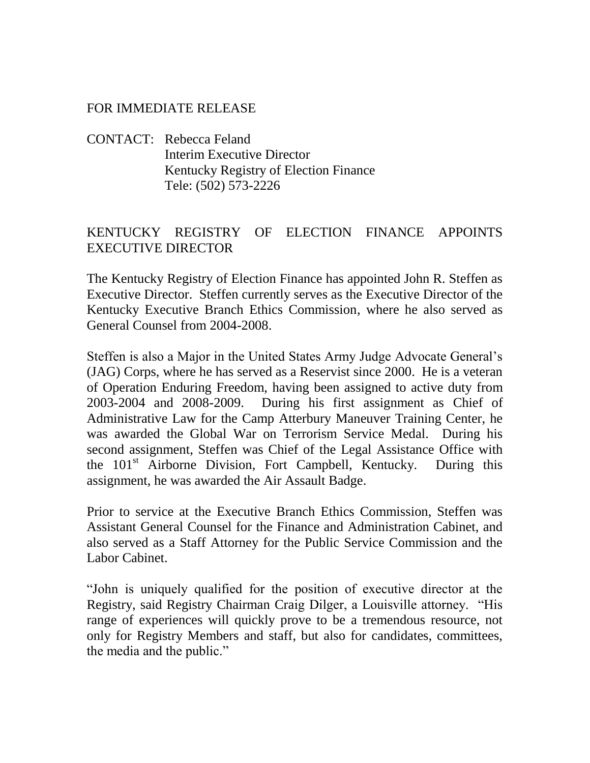## FOR IMMEDIATE RELEASE

CONTACT: Rebecca Feland Interim Executive Director Kentucky Registry of Election Finance Tele: (502) 573-2226

## KENTUCKY REGISTRY OF ELECTION FINANCE APPOINTS EXECUTIVE DIRECTOR

The Kentucky Registry of Election Finance has appointed John R. Steffen as Executive Director. Steffen currently serves as the Executive Director of the Kentucky Executive Branch Ethics Commission, where he also served as General Counsel from 2004-2008.

Steffen is also a Major in the United States Army Judge Advocate General's (JAG) Corps, where he has served as a Reservist since 2000. He is a veteran of Operation Enduring Freedom, having been assigned to active duty from 2003-2004 and 2008-2009. During his first assignment as Chief of Administrative Law for the Camp Atterbury Maneuver Training Center, he was awarded the Global War on Terrorism Service Medal. During his second assignment, Steffen was Chief of the Legal Assistance Office with the 101<sup>st</sup> Airborne Division, Fort Campbell, Kentucky. During this assignment, he was awarded the Air Assault Badge.

Prior to service at the Executive Branch Ethics Commission, Steffen was Assistant General Counsel for the Finance and Administration Cabinet, and also served as a Staff Attorney for the Public Service Commission and the Labor Cabinet.

"John is uniquely qualified for the position of executive director at the Registry, said Registry Chairman Craig Dilger, a Louisville attorney. "His range of experiences will quickly prove to be a tremendous resource, not only for Registry Members and staff, but also for candidates, committees, the media and the public."